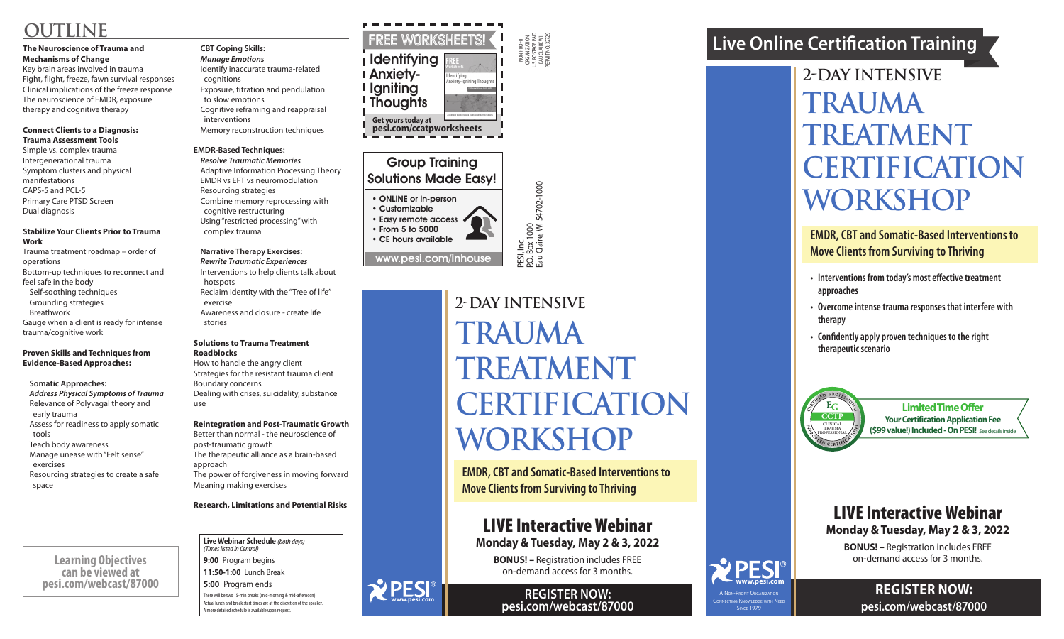NON-PROFIT ORGANIZATION U.S. POSTAGE PAID EAU CLAIRE WI PERMIT NO. 32729

PESI, Inc.<br>P.O. Box 1000<br>Eau Claire, Wl 54702-1000 P.O. Box 1000 Eau Claire, WI 54702-1000

## Group Training Solutions Made Easy!

• ONLINE or in-person

• Customizable • Easy remote access • From 5 to 5000 • CE hours available

www.pesi.com/inhouse

### **REGISTER NOW: pesi.com/webcast/87000**

# **2-Day intensive Trauma TREATMENT Certification Workshop**

- **• Interventions from today's most effective treatment approaches**
- **• Overcome intense trauma responses that interfere with therapy**
- **• Confidently apply proven techniques to the right therapeutic scenario**

**EMDR, CBT and Somatic-Based Interventions to Move Clients from Surviving to Thriving**



# **Live Online Certification Training**

# LIVE Interactive Webinar **Monday & Tuesday, May 2 & 3, 2022**

**BONUS! –** Registration includes FREE on-demand access for 3 months.

ONNECTING KNOWLEDGE WITH NEED **SINCE 1979** 

**Limited Time Offer Your Certification Application Fee (\$99 value!) Included - On PESI!** See details inside

**REGISTER NOW: pesi.com/webcast/87000**

## LIVE Interactive Webinar **Monday & Tuesday, May 2 & 3, 2022**

**BONUS! –** Registration includes FREE on-demand access for 3 months.

# **2-Day intensive Trauma Treatment Certification Workshop**

**www.pesi.com**

**EMDR, CBT and Somatic-Based Interventions to Move Clients from Surviving to Thriving**

#### **Live Webinar Schedule** *(both days) (Times listed in Central)*

**9:00** Program begins **11:50-1:00** Lunch Break **5:00** Program ends

There will be two 15-min breaks (mid-morning & mid-afternoon). Actual lunch and break start times are at the discretion of the speaker. A more detailed schedule is available upon request.

# **OUTLINE**

### **The Neuroscience of Trauma and Mechanisms of Change**

Key brain areas involved in trauma Fight, flight, freeze, fawn survival responses Clinical implications of the freeze response The neuroscience of EMDR, exposure therapy and cognitive therapy

### **Connect Clients to a Diagnosis: Trauma Assessment Tools**

Simple vs. complex trauma Intergenerational trauma Symptom clusters and physical manifestations CAPS-5 and PCL-5 Primary Care PTSD Screen Dual diagnosis

### **Stabilize Your Clients Prior to Trauma Work**

Trauma treatment roadmap – order of operations Bottom-up techniques to reconnect and feel safe in the body Self-soothing techniques Grounding strategies Breathwork Gauge when a client is ready for intense trauma/cognitive work

### **Proven Skills and Techniques from Evidence-Based Approaches:**

**Somatic Approaches:**

*Address Physical Symptoms of Trauma* Relevance of Polyvagal theory and early trauma Assess for readiness to apply somatic tools Teach body awareness Manage unease with "Felt sense" exercises Resourcing strategies to create a safe space

### **CBT Coping Skills:**

*Manage Emotions* Identify inaccurate trauma-related cognitions Exposure, titration and pendulation to slow emotions Cognitive reframing and reappraisal interventions Memory reconstruction techniques

### **EMDR-Based Techniques:**

*Resolve Traumatic Memories* Adaptive Information Processing Theory EMDR vs EFT vs neuromodulation Resourcing strategies Combine memory reprocessing with cognitive restructuring Using "restricted processing" with complex trauma

### **Narrative Therapy Exercises:** *Rewrite Traumatic Experiences* Interventions to help clients talk about

 hotspots Reclaim identity with the "Tree of life" exercise

Awareness and closure - create life stories

### **Solutions to Trauma Treatment Roadblocks**

How to handle the angry client Strategies for the resistant trauma client Boundary concerns Dealing with crises, suicidality, substance use

### **Reintegration and Post-Traumatic Growth**

Better than normal - the neuroscience of post-traumatic growth The therapeutic alliance as a brain-based approach

The power of forgiveness in moving forward Meaning making exercises

**Research, Limitations and Potential Risks**

**Learning Objectives can be viewed at pesi.com/webcast/87000**